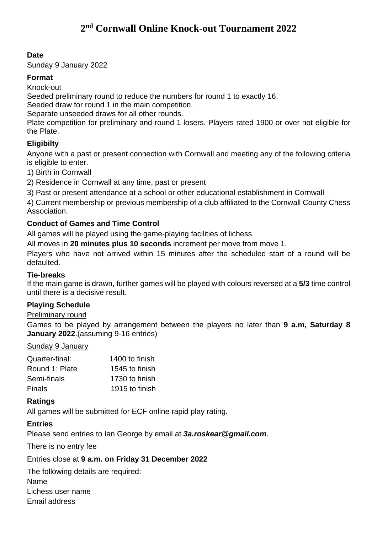## **Date**

Sunday 9 January 2022

## **Format**

Knock-out

Seeded preliminary round to reduce the numbers for round 1 to exactly 16.

Seeded draw for round 1 in the main competition.

Separate unseeded draws for all other rounds.

Plate competition for preliminary and round 1 losers. Players rated 1900 or over not eligible for the Plate.

## **Eligibilty**

Anyone with a past or present connection with Cornwall and meeting any of the following criteria is eligible to enter.

1) Birth in Cornwall

2) Residence in Cornwall at any time, past or present

3) Past or present attendance at a school or other educational establishment in Cornwall

4) Current membership or previous membership of a club affiliated to the Cornwall County Chess Association.

### **Conduct of Games and Time Control**

All games will be played using the game-playing facilities of lichess.

All moves in **20 minutes plus 10 seconds** increment per move from move 1.

Players who have not arrived within 15 minutes after the scheduled start of a round will be defaulted.

#### **Tie-breaks**

If the main game is drawn, further games will be played with colours reversed at a **5/3** time control until there is a decisive result.

### **Playing Schedule**

#### Preliminary round

Games to be played by arrangement between the players no later than **9 a.m, Saturday 8 January 2022**.(assuming 9-16 entries)

#### Sunday 9 January

| Quarter-final: | 1400 to finish |
|----------------|----------------|
| Round 1: Plate | 1545 to finish |
| Semi-finals    | 1730 to finish |
| Finals         | 1915 to finish |

### **Ratings**

All games will be submitted for ECF online rapid play rating.

### **Entries**

Please send entries to Ian George by email at *3a.roskear@gmail.com*.

There is no entry fee

Entries close at **9 a.m. on Friday 31 December 2022**

The following details are required: Name Lichess user name Email address